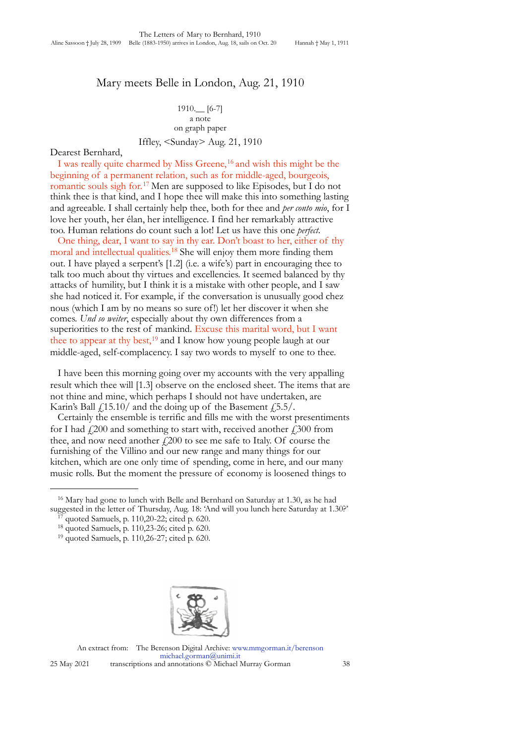## Mary meets Belle in London, Aug. 21, 1910

## 1910.\_\_ [6-7] a note on graph paper Iffley, <Sunday> Aug. 21, 1910

## Dearest Bernhard,

I was really quite charmed by Miss Greene,<sup>16</sup> and wish this might be the beginning of a permanent relation, such as for middle-aged, bourgeois, romantic souls sigh for.[17](#page-0-1) Men are supposed to like Episodes, but I do not think thee is that kind, and I hope thee will make this into something lasting and agreeable. I shall certainly help thee, both for thee and *per conto mio*, for I love her youth, her élan, her intelligence. I find her remarkably attractive too. Human relations do count such a lot! Let us have this one *perfect*.

One thing, dear, I want to say in thy ear. Don't boast to her, either of thy moral and intellectual qualities.<sup>18</sup> She will enjoy them more finding them out. I have played a serpent's [1.2] (i.e. a wife's) part in encouraging thee to talk too much about thy virtues and excellencies. It seemed balanced by thy attacks of humility, but I think it is a mistake with other people, and I saw she had noticed it. For example, if the conversation is unusually good chez nous (which I am by no means so sure of!) let her discover it when she comes. *Und so weiter*, especially about thy own differences from a superiorities to the rest of mankind. Excuse this marital word, but I want thee to appear at thy best,<sup>[19](#page-0-3)</sup> and I know how young people laugh at our middle-aged, self-complacency. I say two words to myself to one to thee.

I have been this morning going over my accounts with the very appalling result which thee will [1.3] observe on the enclosed sheet. The items that are not thine and mine, which perhaps I should not have undertaken, are Karin's Ball  $f(15.10)$  and the doing up of the Basement  $f(5.5)$ .

Certainly the ensemble is terrific and fills me with the worst presentiments for I had  $f(200)$  and something to start with, received another  $f(300)$  from thee, and now need another  $f<sub>1</sub>200$  to see me safe to Italy. Of course the furnishing of the Villino and our new range and many things for our kitchen, which are one only time of spending, come in here, and our many music rolls. But the moment the pressure of economy is loosened things to



An extract from: The Berenson Digital Archive: [www.mmgorman.it/berenson](http://www.mmgorman.it) [michael.gorman@unimi.it](mailto:michael.gorman@unimi.it) 25 May 2021 transcriptions and annotations © Michael Murray Gorman 38

<span id="page-0-0"></span><sup>&</sup>lt;sup>16</sup> Mary had gone to lunch with Belle and Bernhard on Saturday at 1.30, as he had suggested in the letter of Thursday, Aug. 18: 'And will you lunch here Saturday at 1.30?' 17 quoted Samuels, p. 110,20-22; cited p. 620.

<span id="page-0-1"></span>

<span id="page-0-2"></span><sup>18</sup> quoted Samuels, p. 110,23-26; cited p. 620.

<span id="page-0-3"></span><sup>19</sup> quoted Samuels, p. 110,26-27; cited p. 620.